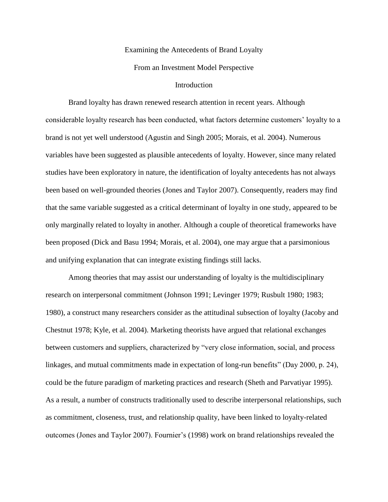#### Examining the Antecedents of Brand Loyalty

#### From an Investment Model Perspective

### **Introduction**

Brand loyalty has drawn renewed research attention in recent years. Although considerable loyalty research has been conducted, what factors determine customers" loyalty to a brand is not yet well understood (Agustin and Singh 2005; Morais, et al. 2004). Numerous variables have been suggested as plausible antecedents of loyalty. However, since many related studies have been exploratory in nature, the identification of loyalty antecedents has not always been based on well-grounded theories (Jones and Taylor 2007). Consequently, readers may find that the same variable suggested as a critical determinant of loyalty in one study, appeared to be only marginally related to loyalty in another. Although a couple of theoretical frameworks have been proposed (Dick and Basu 1994; Morais, et al. 2004), one may argue that a parsimonious and unifying explanation that can integrate existing findings still lacks.

Among theories that may assist our understanding of loyalty is the multidisciplinary research on interpersonal commitment (Johnson 1991; Levinger 1979; Rusbult 1980; 1983; 1980), a construct many researchers consider as the attitudinal subsection of loyalty (Jacoby and Chestnut 1978; Kyle, et al. 2004). Marketing theorists have argued that relational exchanges between customers and suppliers, characterized by "very close information, social, and process linkages, and mutual commitments made in expectation of long-run benefits" (Day 2000, p. 24), could be the future paradigm of marketing practices and research (Sheth and Parvatiyar 1995). As a result, a number of constructs traditionally used to describe interpersonal relationships, such as commitment, closeness, trust, and relationship quality, have been linked to loyalty-related outcomes (Jones and Taylor 2007). Fournier"s (1998) work on brand relationships revealed the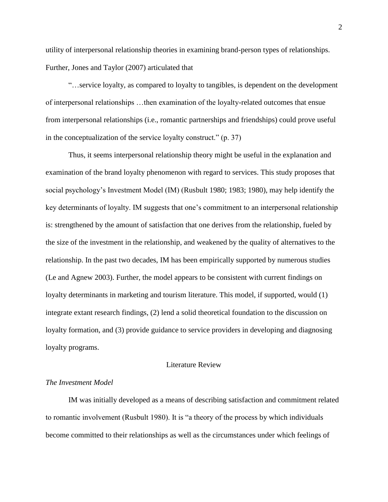utility of interpersonal relationship theories in examining brand-person types of relationships. Further, Jones and Taylor (2007) articulated that

"…service loyalty, as compared to loyalty to tangibles, is dependent on the development of interpersonal relationships …then examination of the loyalty-related outcomes that ensue from interpersonal relationships (i.e., romantic partnerships and friendships) could prove useful in the conceptualization of the service loyalty construct." (p. 37)

Thus, it seems interpersonal relationship theory might be useful in the explanation and examination of the brand loyalty phenomenon with regard to services. This study proposes that social psychology"s Investment Model (IM) (Rusbult 1980; 1983; 1980), may help identify the key determinants of loyalty. IM suggests that one"s commitment to an interpersonal relationship is: strengthened by the amount of satisfaction that one derives from the relationship, fueled by the size of the investment in the relationship, and weakened by the quality of alternatives to the relationship. In the past two decades, IM has been empirically supported by numerous studies (Le and Agnew 2003). Further, the model appears to be consistent with current findings on loyalty determinants in marketing and tourism literature. This model, if supported, would (1) integrate extant research findings, (2) lend a solid theoretical foundation to the discussion on loyalty formation, and (3) provide guidance to service providers in developing and diagnosing loyalty programs.

### Literature Review

# *The Investment Model*

IM was initially developed as a means of describing satisfaction and commitment related to romantic involvement (Rusbult 1980). It is "a theory of the process by which individuals become committed to their relationships as well as the circumstances under which feelings of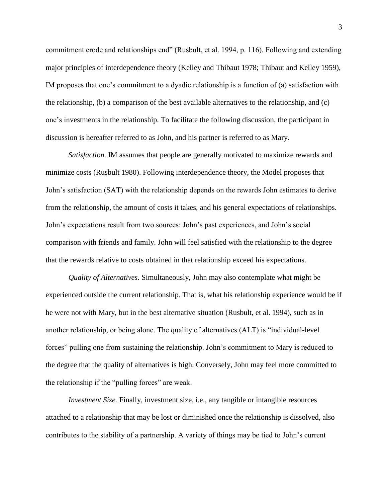commitment erode and relationships end" (Rusbult, et al. 1994, p. 116). Following and extending major principles of interdependence theory (Kelley and Thibaut 1978; Thibaut and Kelley 1959), IM proposes that one"s commitment to a dyadic relationship is a function of (a) satisfaction with the relationship, (b) a comparison of the best available alternatives to the relationship, and (c) one"s investments in the relationship. To facilitate the following discussion, the participant in discussion is hereafter referred to as John, and his partner is referred to as Mary.

*Satisfaction.* IM assumes that people are generally motivated to maximize rewards and minimize costs (Rusbult 1980). Following interdependence theory, the Model proposes that John"s satisfaction (SAT) with the relationship depends on the rewards John estimates to derive from the relationship, the amount of costs it takes, and his general expectations of relationships. John"s expectations result from two sources: John"s past experiences, and John"s social comparison with friends and family. John will feel satisfied with the relationship to the degree that the rewards relative to costs obtained in that relationship exceed his expectations.

*Quality of Alternatives.* Simultaneously, John may also contemplate what might be experienced outside the current relationship. That is, what his relationship experience would be if he were not with Mary, but in the best alternative situation (Rusbult, et al. 1994), such as in another relationship, or being alone. The quality of alternatives (ALT) is "individual-level forces" pulling one from sustaining the relationship. John"s commitment to Mary is reduced to the degree that the quality of alternatives is high. Conversely, John may feel more committed to the relationship if the "pulling forces" are weak.

*Investment Size.* Finally, investment size, i.e., any tangible or intangible resources attached to a relationship that may be lost or diminished once the relationship is dissolved, also contributes to the stability of a partnership. A variety of things may be tied to John"s current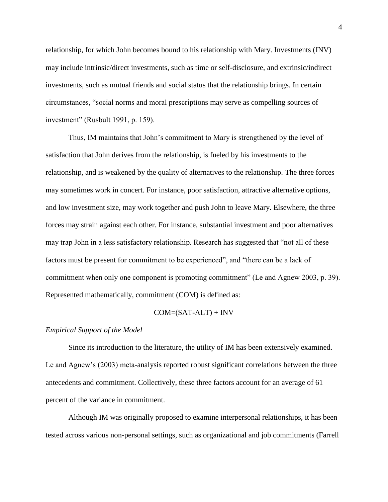relationship, for which John becomes bound to his relationship with Mary. Investments (INV) may include intrinsic/direct investments, such as time or self-disclosure, and extrinsic/indirect investments, such as mutual friends and social status that the relationship brings. In certain circumstances, "social norms and moral prescriptions may serve as compelling sources of investment" (Rusbult 1991, p. 159).

Thus, IM maintains that John"s commitment to Mary is strengthened by the level of satisfaction that John derives from the relationship, is fueled by his investments to the relationship, and is weakened by the quality of alternatives to the relationship. The three forces may sometimes work in concert. For instance, poor satisfaction, attractive alternative options, and low investment size, may work together and push John to leave Mary. Elsewhere, the three forces may strain against each other. For instance, substantial investment and poor alternatives may trap John in a less satisfactory relationship. Research has suggested that "not all of these factors must be present for commitment to be experienced", and "there can be a lack of commitment when only one component is promoting commitment" (Le and Agnew 2003, p. 39). Represented mathematically, commitment (COM) is defined as:

### $COM=(SAT-ALT) + INV$

#### *Empirical Support of the Model*

Since its introduction to the literature, the utility of IM has been extensively examined. Le and Agnew"s (2003) meta-analysis reported robust significant correlations between the three antecedents and commitment. Collectively, these three factors account for an average of 61 percent of the variance in commitment.

Although IM was originally proposed to examine interpersonal relationships, it has been tested across various non-personal settings, such as organizational and job commitments (Farrell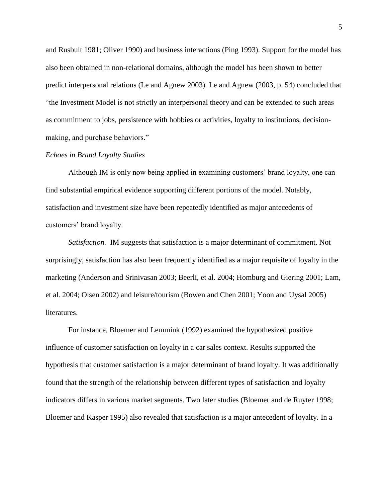and Rusbult 1981; Oliver 1990) and business interactions (Ping 1993). Support for the model has also been obtained in non-relational domains, although the model has been shown to better predict interpersonal relations (Le and Agnew 2003). Le and Agnew (2003, p. 54) concluded that "the Investment Model is not strictly an interpersonal theory and can be extended to such areas as commitment to jobs, persistence with hobbies or activities, loyalty to institutions, decisionmaking, and purchase behaviors."

### *Echoes in Brand Loyalty Studies*

Although IM is only now being applied in examining customers' brand loyalty, one can find substantial empirical evidence supporting different portions of the model. Notably, satisfaction and investment size have been repeatedly identified as major antecedents of customers" brand loyalty.

*Satisfaction.* IM suggests that satisfaction is a major determinant of commitment. Not surprisingly, satisfaction has also been frequently identified as a major requisite of loyalty in the marketing (Anderson and Srinivasan 2003; Beerli, et al. 2004; Homburg and Giering 2001; Lam, et al. 2004; Olsen 2002) and leisure/tourism (Bowen and Chen 2001; Yoon and Uysal 2005) literatures.

For instance, Bloemer and Lemmink (1992) examined the hypothesized positive influence of customer satisfaction on loyalty in a car sales context. Results supported the hypothesis that customer satisfaction is a major determinant of brand loyalty. It was additionally found that the strength of the relationship between different types of satisfaction and loyalty indicators differs in various market segments. Two later studies (Bloemer and de Ruyter 1998; Bloemer and Kasper 1995) also revealed that satisfaction is a major antecedent of loyalty. In a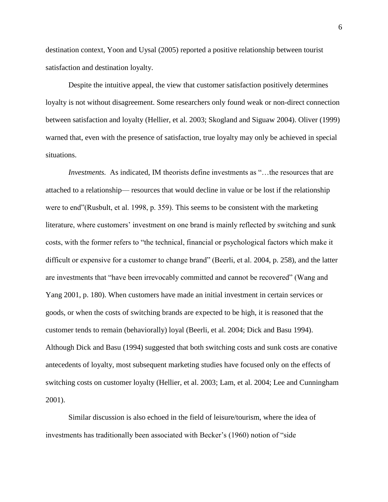destination context, Yoon and Uysal (2005) reported a positive relationship between tourist satisfaction and destination loyalty.

Despite the intuitive appeal, the view that customer satisfaction positively determines loyalty is not without disagreement. Some researchers only found weak or non-direct connection between satisfaction and loyalty (Hellier, et al. 2003; Skogland and Siguaw 2004). Oliver (1999) warned that, even with the presence of satisfaction, true loyalty may only be achieved in special situations.

*Investments.* As indicated, IM theorists define investments as "...the resources that are attached to a relationship— resources that would decline in value or be lost if the relationship were to end"(Rusbult, et al. 1998, p. 359). This seems to be consistent with the marketing literature, where customers' investment on one brand is mainly reflected by switching and sunk costs, with the former refers to "the technical, financial or psychological factors which make it difficult or expensive for a customer to change brand" (Beerli, et al. 2004, p. 258), and the latter are investments that "have been irrevocably committed and cannot be recovered" (Wang and Yang 2001, p. 180). When customers have made an initial investment in certain services or goods, or when the costs of switching brands are expected to be high, it is reasoned that the customer tends to remain (behaviorally) loyal (Beerli, et al. 2004; Dick and Basu 1994). Although Dick and Basu (1994) suggested that both switching costs and sunk costs are conative antecedents of loyalty, most subsequent marketing studies have focused only on the effects of switching costs on customer loyalty (Hellier, et al. 2003; Lam, et al. 2004; Lee and Cunningham 2001).

Similar discussion is also echoed in the field of leisure/tourism, where the idea of investments has traditionally been associated with Becker"s (1960) notion of "side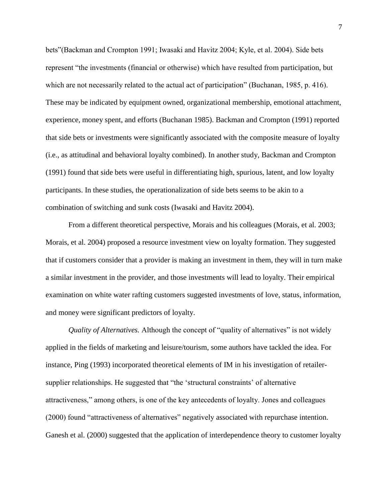bets"(Backman and Crompton 1991; Iwasaki and Havitz 2004; Kyle, et al. 2004). Side bets represent "the investments (financial or otherwise) which have resulted from participation, but which are not necessarily related to the actual act of participation" (Buchanan, 1985, p. 416). These may be indicated by equipment owned, organizational membership, emotional attachment, experience, money spent, and efforts (Buchanan 1985). Backman and Crompton (1991) reported that side bets or investments were significantly associated with the composite measure of loyalty (i.e., as attitudinal and behavioral loyalty combined). In another study, Backman and Crompton (1991) found that side bets were useful in differentiating high, spurious, latent, and low loyalty participants. In these studies, the operationalization of side bets seems to be akin to a combination of switching and sunk costs (Iwasaki and Havitz 2004).

From a different theoretical perspective, Morais and his colleagues (Morais, et al. 2003; Morais, et al. 2004) proposed a resource investment view on loyalty formation. They suggested that if customers consider that a provider is making an investment in them, they will in turn make a similar investment in the provider, and those investments will lead to loyalty. Their empirical examination on white water rafting customers suggested investments of love, status, information, and money were significant predictors of loyalty.

*Quality of Alternatives.* Although the concept of "quality of alternatives" is not widely applied in the fields of marketing and leisure/tourism, some authors have tackled the idea. For instance, Ping (1993) incorporated theoretical elements of IM in his investigation of retailersupplier relationships. He suggested that "the 'structural constraints' of alternative attractiveness," among others, is one of the key antecedents of loyalty. Jones and colleagues (2000) found "attractiveness of alternatives" negatively associated with repurchase intention. Ganesh et al. (2000) suggested that the application of interdependence theory to customer loyalty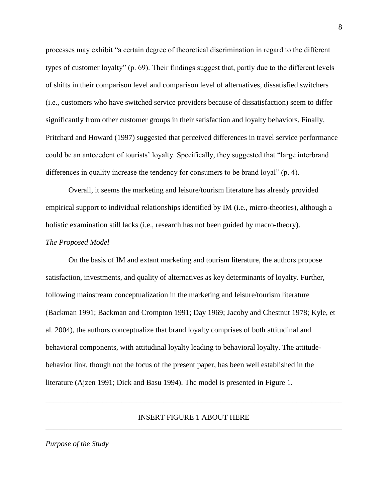processes may exhibit "a certain degree of theoretical discrimination in regard to the different types of customer loyalty" (p. 69). Their findings suggest that, partly due to the different levels of shifts in their comparison level and comparison level of alternatives, dissatisfied switchers (i.e., customers who have switched service providers because of dissatisfaction) seem to differ significantly from other customer groups in their satisfaction and loyalty behaviors. Finally, Pritchard and Howard (1997) suggested that perceived differences in travel service performance could be an antecedent of tourists" loyalty. Specifically, they suggested that "large interbrand differences in quality increase the tendency for consumers to be brand loyal" (p. 4).

Overall, it seems the marketing and leisure/tourism literature has already provided empirical support to individual relationships identified by IM (i.e., micro-theories), although a holistic examination still lacks (i.e., research has not been guided by macro-theory).

#### *The Proposed Model*

On the basis of IM and extant marketing and tourism literature, the authors propose satisfaction, investments, and quality of alternatives as key determinants of loyalty. Further, following mainstream conceptualization in the marketing and leisure/tourism literature (Backman 1991; Backman and Crompton 1991; Day 1969; Jacoby and Chestnut 1978; Kyle, et al. 2004), the authors conceptualize that brand loyalty comprises of both attitudinal and behavioral components, with attitudinal loyalty leading to behavioral loyalty. The attitudebehavior link, though not the focus of the present paper, has been well established in the literature (Ajzen 1991; Dick and Basu 1994). The model is presented in Figure 1.

### INSERT FIGURE 1 ABOUT HERE \_\_\_\_\_\_\_\_\_\_\_\_\_\_\_\_\_\_\_\_\_\_\_\_\_\_\_\_\_\_\_\_\_\_\_\_\_\_\_\_\_\_\_\_\_\_\_\_\_\_\_\_\_\_\_\_\_\_\_\_\_\_\_\_\_\_\_\_\_\_\_\_\_\_\_\_\_\_

\_\_\_\_\_\_\_\_\_\_\_\_\_\_\_\_\_\_\_\_\_\_\_\_\_\_\_\_\_\_\_\_\_\_\_\_\_\_\_\_\_\_\_\_\_\_\_\_\_\_\_\_\_\_\_\_\_\_\_\_\_\_\_\_\_\_\_\_\_\_\_\_\_\_\_\_\_\_

### *Purpose of the Study*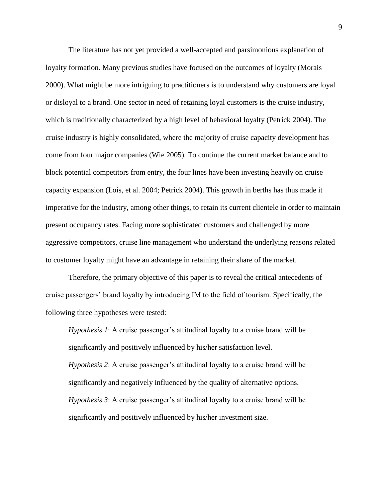The literature has not yet provided a well-accepted and parsimonious explanation of loyalty formation. Many previous studies have focused on the outcomes of loyalty (Morais 2000). What might be more intriguing to practitioners is to understand why customers are loyal or disloyal to a brand. One sector in need of retaining loyal customers is the cruise industry, which is traditionally characterized by a high level of behavioral loyalty (Petrick 2004). The cruise industry is highly consolidated, where the majority of cruise capacity development has come from four major companies (Wie 2005). To continue the current market balance and to block potential competitors from entry, the four lines have been investing heavily on cruise capacity expansion (Lois, et al. 2004; Petrick 2004). This growth in berths has thus made it imperative for the industry, among other things, to retain its current clientele in order to maintain present occupancy rates. Facing more sophisticated customers and challenged by more aggressive competitors, cruise line management who understand the underlying reasons related to customer loyalty might have an advantage in retaining their share of the market.

Therefore, the primary objective of this paper is to reveal the critical antecedents of cruise passengers" brand loyalty by introducing IM to the field of tourism. Specifically, the following three hypotheses were tested:

*Hypothesis 1*: A cruise passenger's attitudinal loyalty to a cruise brand will be significantly and positively influenced by his/her satisfaction level. *Hypothesis 2*: A cruise passenger's attitudinal loyalty to a cruise brand will be significantly and negatively influenced by the quality of alternative options. *Hypothesis 3*: A cruise passenger's attitudinal loyalty to a cruise brand will be significantly and positively influenced by his/her investment size.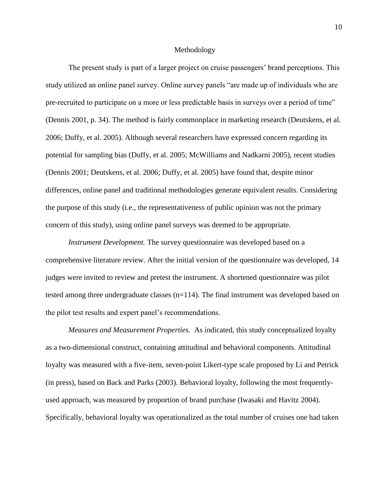#### Methodology

The present study is part of a larger project on cruise passengers' brand perceptions. This study utilized an online panel survey. Online survey panels "are made up of individuals who are pre-recruited to participate on a more or less predictable basis in surveys over a period of time" (Dennis 2001, p. 34). The method is fairly commonplace in marketing research (Deutskens, et al. 2006; Duffy, et al. 2005). Although several researchers have expressed concern regarding its potential for sampling bias (Duffy, et al. 2005; McWilliams and Nadkarni 2005), recent studies (Dennis 2001; Deutskens, et al. 2006; Duffy, et al. 2005) have found that, despite minor differences, online panel and traditional methodologies generate equivalent results. Considering the purpose of this study (i.e., the representativeness of public opinion was not the primary concern of this study), using online panel surveys was deemed to be appropriate.

*Instrument Development.* The survey questionnaire was developed based on a comprehensive literature review. After the initial version of the questionnaire was developed, 14 judges were invited to review and pretest the instrument. A shortened questionnaire was pilot tested among three undergraduate classes (n=114). The final instrument was developed based on the pilot test results and expert panel"s recommendations.

*Measures and Measurement Properties.* As indicated, this study conceptualized loyalty as a two-dimensional construct, containing attitudinal and behavioral components. Attitudinal loyalty was measured with a five-item, seven-point Likert-type scale proposed by Li and Petrick (in press), based on Back and Parks (2003). Behavioral loyalty, following the most frequentlyused approach, was measured by proportion of brand purchase (Iwasaki and Havitz 2004). Specifically, behavioral loyalty was operationalized as the total number of cruises one had taken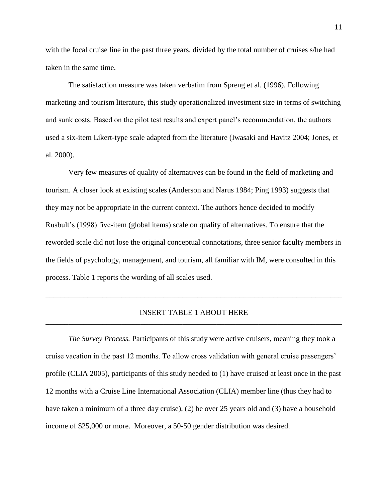with the focal cruise line in the past three years, divided by the total number of cruises s/he had taken in the same time.

The satisfaction measure was taken verbatim from Spreng et al. (1996). Following marketing and tourism literature, this study operationalized investment size in terms of switching and sunk costs. Based on the pilot test results and expert panel"s recommendation, the authors used a six-item Likert-type scale adapted from the literature (Iwasaki and Havitz 2004; Jones, et al. 2000).

Very few measures of quality of alternatives can be found in the field of marketing and tourism. A closer look at existing scales (Anderson and Narus 1984; Ping 1993) suggests that they may not be appropriate in the current context. The authors hence decided to modify Rusbult"s (1998) five-item (global items) scale on quality of alternatives. To ensure that the reworded scale did not lose the original conceptual connotations, three senior faculty members in the fields of psychology, management, and tourism, all familiar with IM, were consulted in this process. Table 1 reports the wording of all scales used.

# INSERT TABLE 1 ABOUT HERE \_\_\_\_\_\_\_\_\_\_\_\_\_\_\_\_\_\_\_\_\_\_\_\_\_\_\_\_\_\_\_\_\_\_\_\_\_\_\_\_\_\_\_\_\_\_\_\_\_\_\_\_\_\_\_\_\_\_\_\_\_\_\_\_\_\_\_\_\_\_\_\_\_\_\_\_\_\_

\_\_\_\_\_\_\_\_\_\_\_\_\_\_\_\_\_\_\_\_\_\_\_\_\_\_\_\_\_\_\_\_\_\_\_\_\_\_\_\_\_\_\_\_\_\_\_\_\_\_\_\_\_\_\_\_\_\_\_\_\_\_\_\_\_\_\_\_\_\_\_\_\_\_\_\_\_\_

*The Survey Process.* Participants of this study were active cruisers, meaning they took a cruise vacation in the past 12 months. To allow cross validation with general cruise passengers" profile (CLIA 2005), participants of this study needed to (1) have cruised at least once in the past 12 months with a Cruise Line International Association (CLIA) member line (thus they had to have taken a minimum of a three day cruise), (2) be over 25 years old and (3) have a household income of \$25,000 or more. Moreover, a 50-50 gender distribution was desired.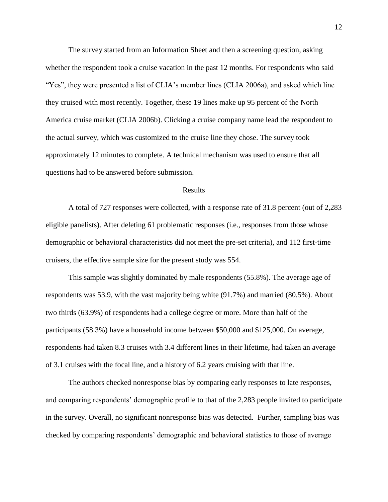The survey started from an Information Sheet and then a screening question, asking whether the respondent took a cruise vacation in the past 12 months. For respondents who said "Yes", they were presented a list of CLIA's member lines (CLIA 2006a), and asked which line they cruised with most recently. Together, these 19 lines make up 95 percent of the North America cruise market (CLIA 2006b). Clicking a cruise company name lead the respondent to the actual survey, which was customized to the cruise line they chose. The survey took approximately 12 minutes to complete. A technical mechanism was used to ensure that all questions had to be answered before submission.

### Results

A total of 727 responses were collected, with a response rate of 31.8 percent (out of 2,283 eligible panelists). After deleting 61 problematic responses (i.e., responses from those whose demographic or behavioral characteristics did not meet the pre-set criteria), and 112 first-time cruisers, the effective sample size for the present study was 554.

This sample was slightly dominated by male respondents (55.8%). The average age of respondents was 53.9, with the vast majority being white (91.7%) and married (80.5%). About two thirds (63.9%) of respondents had a college degree or more. More than half of the participants (58.3%) have a household income between \$50,000 and \$125,000. On average, respondents had taken 8.3 cruises with 3.4 different lines in their lifetime, had taken an average of 3.1 cruises with the focal line, and a history of 6.2 years cruising with that line.

The authors checked nonresponse bias by comparing early responses to late responses, and comparing respondents' demographic profile to that of the 2,283 people invited to participate in the survey. Overall, no significant nonresponse bias was detected. Further, sampling bias was checked by comparing respondents" demographic and behavioral statistics to those of average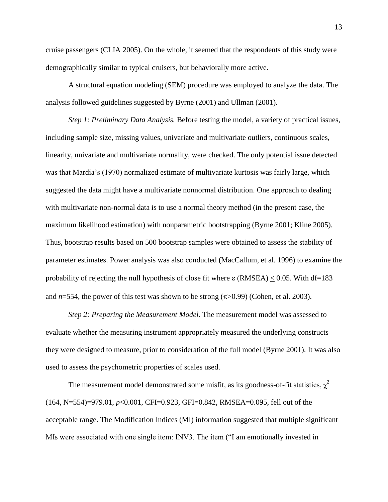cruise passengers (CLIA 2005). On the whole, it seemed that the respondents of this study were demographically similar to typical cruisers, but behaviorally more active.

A structural equation modeling (SEM) procedure was employed to analyze the data. The analysis followed guidelines suggested by Byrne (2001) and Ullman (2001).

*Step 1: Preliminary Data Analysis.* Before testing the model, a variety of practical issues, including sample size, missing values, univariate and multivariate outliers, continuous scales, linearity, univariate and multivariate normality, were checked. The only potential issue detected was that Mardia"s (1970) normalized estimate of multivariate kurtosis was fairly large, which suggested the data might have a multivariate nonnormal distribution. One approach to dealing with multivariate non-normal data is to use a normal theory method (in the present case, the maximum likelihood estimation) with nonparametric bootstrapping (Byrne 2001; Kline 2005). Thus, bootstrap results based on 500 bootstrap samples were obtained to assess the stability of parameter estimates. Power analysis was also conducted (MacCallum, et al. 1996) to examine the probability of rejecting the null hypothesis of close fit where  $\epsilon$  (RMSEA) < 0.05. With df=183 and  $n=554$ , the power of this test was shown to be strong  $(\pi>0.99)$  (Cohen, et al. 2003).

*Step 2: Preparing the Measurement Model.* The measurement model was assessed to evaluate whether the measuring instrument appropriately measured the underlying constructs they were designed to measure, prior to consideration of the full model (Byrne 2001). It was also used to assess the psychometric properties of scales used.

The measurement model demonstrated some misfit, as its goodness-of-fit statistics,  $\chi^2$ (164, N=554)=979.01, *p*<0.001, CFI=0.923, GFI=0.842, RMSEA=0.095, fell out of the acceptable range. The Modification Indices (MI) information suggested that multiple significant MIs were associated with one single item: INV3. The item ("I am emotionally invested in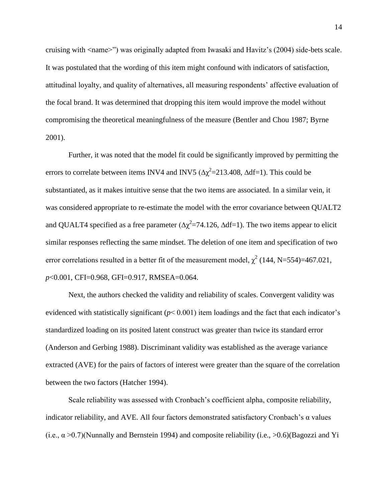cruising with <name>") was originally adapted from Iwasaki and Havitz"s (2004) side-bets scale. It was postulated that the wording of this item might confound with indicators of satisfaction, attitudinal loyalty, and quality of alternatives, all measuring respondents" affective evaluation of the focal brand. It was determined that dropping this item would improve the model without compromising the theoretical meaningfulness of the measure (Bentler and Chou 1987; Byrne 2001).

Further, it was noted that the model fit could be significantly improved by permitting the errors to correlate between items INV4 and INV5 ( $\Delta \chi^2$ =213.408,  $\Delta df$ =1). This could be substantiated, as it makes intuitive sense that the two items are associated. In a similar vein, it was considered appropriate to re-estimate the model with the error covariance between QUALT2 and QUALT4 specified as a free parameter ( $\Delta \chi^2$ =74.126,  $\Delta df$ =1). The two items appear to elicit similar responses reflecting the same mindset. The deletion of one item and specification of two error correlations resulted in a better fit of the measurement model,  $\chi^2$  (144, N=554)=467.021, *p*<0.001, CFI=0.968, GFI=0.917, RMSEA=0.064.

Next, the authors checked the validity and reliability of scales. Convergent validity was evidenced with statistically significant  $(p< 0.001)$  item loadings and the fact that each indicator's standardized loading on its posited latent construct was greater than twice its standard error (Anderson and Gerbing 1988). Discriminant validity was established as the average variance extracted (AVE) for the pairs of factors of interest were greater than the square of the correlation between the two factors (Hatcher 1994).

Scale reliability was assessed with Cronbach"s coefficient alpha, composite reliability, indicator reliability, and AVE. All four factors demonstrated satisfactory Cronbach's  $\alpha$  values (i.e.,  $\alpha$  >0.7)(Nunnally and Bernstein 1994) and composite reliability (i.e., >0.6)(Bagozzi and Yi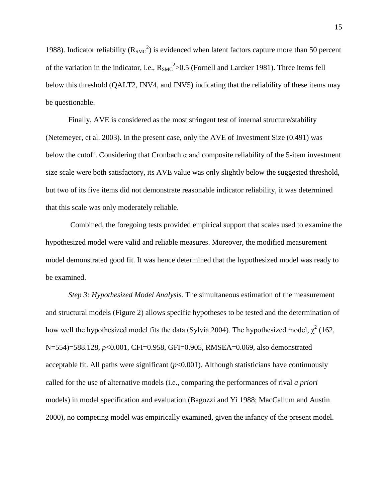1988). Indicator reliability ( $R_{SMC}^2$ ) is evidenced when latent factors capture more than 50 percent of the variation in the indicator, i.e.,  $R_{SMC}^2 > 0.5$  (Fornell and Larcker 1981). Three items fell below this threshold (QALT2, INV4, and INV5) indicating that the reliability of these items may be questionable.

Finally, AVE is considered as the most stringent test of internal structure/stability (Netemeyer, et al. 2003). In the present case, only the AVE of Investment Size (0.491) was below the cutoff. Considering that Cronbach  $\alpha$  and composite reliability of the 5-item investment size scale were both satisfactory, its AVE value was only slightly below the suggested threshold, but two of its five items did not demonstrate reasonable indicator reliability, it was determined that this scale was only moderately reliable.

Combined, the foregoing tests provided empirical support that scales used to examine the hypothesized model were valid and reliable measures. Moreover, the modified measurement model demonstrated good fit. It was hence determined that the hypothesized model was ready to be examined.

*Step 3: Hypothesized Model Analysis.* The simultaneous estimation of the measurement and structural models (Figure 2) allows specific hypotheses to be tested and the determination of how well the hypothesized model fits the data (Sylvia 2004). The hypothesized model,  $\chi^2$  (162, N=554)=588.128, *p*<0.001, CFI=0.958, GFI=0.905, RMSEA=0.069, also demonstrated acceptable fit. All paths were significant  $(p<0.001)$ . Although statisticians have continuously called for the use of alternative models (i.e., comparing the performances of rival *a priori* models) in model specification and evaluation (Bagozzi and Yi 1988; MacCallum and Austin 2000), no competing model was empirically examined, given the infancy of the present model.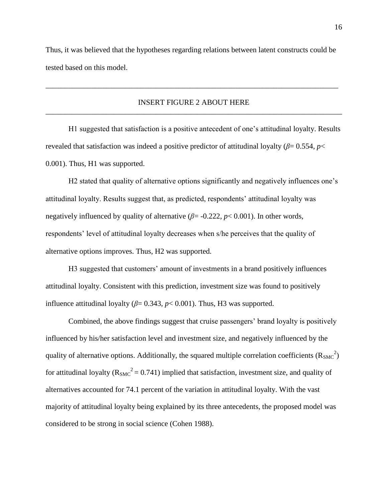Thus, it was believed that the hypotheses regarding relations between latent constructs could be tested based on this model.

## INSERT FIGURE 2 ABOUT HERE \_\_\_\_\_\_\_\_\_\_\_\_\_\_\_\_\_\_\_\_\_\_\_\_\_\_\_\_\_\_\_\_\_\_\_\_\_\_\_\_\_\_\_\_\_\_\_\_\_\_\_\_\_\_\_\_\_\_\_\_\_\_\_\_\_\_\_\_\_\_\_\_\_\_\_\_\_\_

\_\_\_\_\_\_\_\_\_\_\_\_\_\_\_\_\_\_\_\_\_\_\_\_\_\_\_\_\_\_\_\_\_\_\_\_\_\_\_\_\_\_\_\_\_\_\_\_\_\_\_\_\_\_\_\_\_\_\_\_\_\_\_\_\_\_\_\_\_\_\_\_\_\_\_\_\_

H1 suggested that satisfaction is a positive antecedent of one"s attitudinal loyalty. Results revealed that satisfaction was indeed a positive predictor of attitudinal loyalty ( $\beta$ = 0.554, *p*< 0.001). Thus, H1 was supported.

H2 stated that quality of alternative options significantly and negatively influences one"s attitudinal loyalty. Results suggest that, as predicted, respondents" attitudinal loyalty was negatively influenced by quality of alternative (*β*= -0.222, *p*< 0.001). In other words, respondents' level of attitudinal loyalty decreases when s/he perceives that the quality of alternative options improves. Thus, H2 was supported.

H3 suggested that customers" amount of investments in a brand positively influences attitudinal loyalty. Consistent with this prediction, investment size was found to positively influence attitudinal loyalty ( $\beta$ = 0.343,  $p$ < 0.001). Thus, H3 was supported.

Combined, the above findings suggest that cruise passengers' brand loyalty is positively influenced by his/her satisfaction level and investment size, and negatively influenced by the quality of alternative options. Additionally, the squared multiple correlation coefficients  $(R_{SMC}^2)$ for attitudinal loyalty ( $R_{SMC}^2$  = 0.741) implied that satisfaction, investment size, and quality of alternatives accounted for 74.1 percent of the variation in attitudinal loyalty. With the vast majority of attitudinal loyalty being explained by its three antecedents, the proposed model was considered to be strong in social science (Cohen 1988).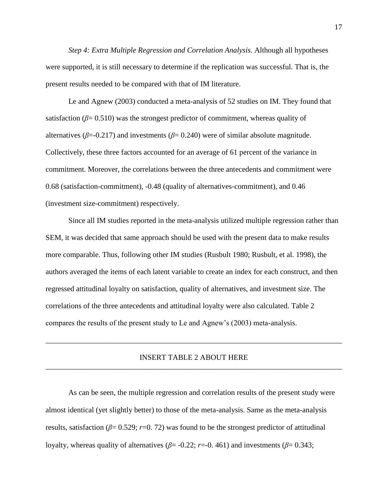*Step 4: Extra Multiple Regression and Correlation Analysis. Although all hypotheses* were supported, it is still necessary to determine if the replication was successful. That is, the present results needed to be compared with that of IM literature.

Le and Agnew (2003) conducted a meta-analysis of 52 studies on IM. They found that satisfaction ( $\beta$ = 0.510) was the strongest predictor of commitment, whereas quality of alternatives ( $\beta$ =-0.217) and investments ( $\beta$ = 0.240) were of similar absolute magnitude. Collectively, these three factors accounted for an average of 61 percent of the variance in commitment. Moreover, the correlations between the three antecedents and commitment were 0.68 (satisfaction-commitment), -0.48 (quality of alternatives-commitment), and 0.46 (investment size-commitment) respectively.

Since all IM studies reported in the meta-analysis utilized multiple regression rather than SEM, it was decided that same approach should be used with the present data to make results more comparable. Thus, following other IM studies (Rusbult 1980; Rusbult, et al. 1998), the authors averaged the items of each latent variable to create an index for each construct, and then regressed attitudinal loyalty on satisfaction, quality of alternatives, and investment size. The correlations of the three antecedents and attitudinal loyalty were also calculated. Table 2 compares the results of the present study to Le and Agnew"s (2003) meta-analysis.

# INSERT TABLE 2 ABOUT HERE \_\_\_\_\_\_\_\_\_\_\_\_\_\_\_\_\_\_\_\_\_\_\_\_\_\_\_\_\_\_\_\_\_\_\_\_\_\_\_\_\_\_\_\_\_\_\_\_\_\_\_\_\_\_\_\_\_\_\_\_\_\_\_\_\_\_\_\_\_\_\_\_\_\_\_\_\_\_

\_\_\_\_\_\_\_\_\_\_\_\_\_\_\_\_\_\_\_\_\_\_\_\_\_\_\_\_\_\_\_\_\_\_\_\_\_\_\_\_\_\_\_\_\_\_\_\_\_\_\_\_\_\_\_\_\_\_\_\_\_\_\_\_\_\_\_\_\_\_\_\_\_\_\_\_\_\_

As can be seen, the multiple regression and correlation results of the present study were almost identical (yet slightly better) to those of the meta-analysis. Same as the meta-analysis results, satisfaction ( $\beta$ = 0.529; *r*=0.72) was found to be the strongest predictor of attitudinal loyalty, whereas quality of alternatives ( $\beta$ = -0.22; *r*=-0.461) and investments ( $\beta$ = 0.343;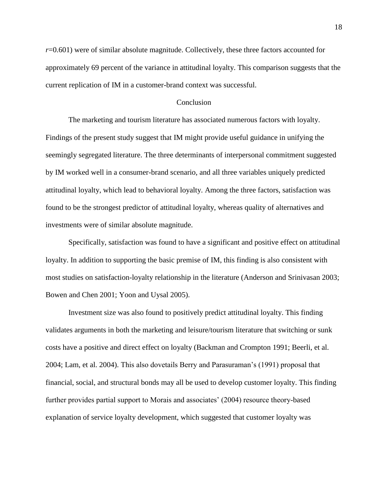*r*=0.601) were of similar absolute magnitude. Collectively, these three factors accounted for approximately 69 percent of the variance in attitudinal loyalty. This comparison suggests that the current replication of IM in a customer-brand context was successful.

### **Conclusion**

The marketing and tourism literature has associated numerous factors with loyalty. Findings of the present study suggest that IM might provide useful guidance in unifying the seemingly segregated literature. The three determinants of interpersonal commitment suggested by IM worked well in a consumer-brand scenario, and all three variables uniquely predicted attitudinal loyalty, which lead to behavioral loyalty. Among the three factors, satisfaction was found to be the strongest predictor of attitudinal loyalty, whereas quality of alternatives and investments were of similar absolute magnitude.

Specifically, satisfaction was found to have a significant and positive effect on attitudinal loyalty. In addition to supporting the basic premise of IM, this finding is also consistent with most studies on satisfaction-loyalty relationship in the literature (Anderson and Srinivasan 2003; Bowen and Chen 2001; Yoon and Uysal 2005).

Investment size was also found to positively predict attitudinal loyalty. This finding validates arguments in both the marketing and leisure/tourism literature that switching or sunk costs have a positive and direct effect on loyalty (Backman and Crompton 1991; Beerli, et al. 2004; Lam, et al. 2004). This also dovetails Berry and Parasuraman"s (1991) proposal that financial, social, and structural bonds may all be used to develop customer loyalty. This finding further provides partial support to Morais and associates' (2004) resource theory-based explanation of service loyalty development, which suggested that customer loyalty was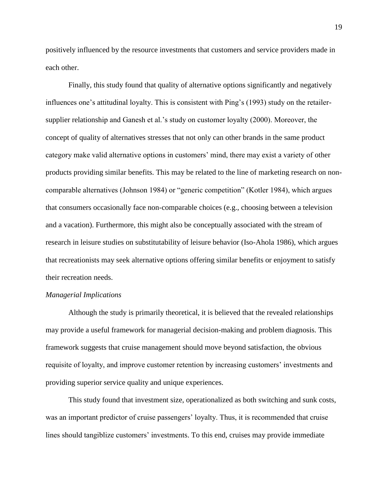positively influenced by the resource investments that customers and service providers made in each other.

Finally, this study found that quality of alternative options significantly and negatively influences one's attitudinal loyalty. This is consistent with Ping's (1993) study on the retailersupplier relationship and Ganesh et al."s study on customer loyalty (2000). Moreover, the concept of quality of alternatives stresses that not only can other brands in the same product category make valid alternative options in customers' mind, there may exist a variety of other products providing similar benefits. This may be related to the line of marketing research on noncomparable alternatives (Johnson 1984) or "generic competition" (Kotler 1984), which argues that consumers occasionally face non-comparable choices (e.g., choosing between a television and a vacation). Furthermore, this might also be conceptually associated with the stream of research in leisure studies on substitutability of leisure behavior (Iso-Ahola 1986), which argues that recreationists may seek alternative options offering similar benefits or enjoyment to satisfy their recreation needs.

### *Managerial Implications*

Although the study is primarily theoretical, it is believed that the revealed relationships may provide a useful framework for managerial decision-making and problem diagnosis. This framework suggests that cruise management should move beyond satisfaction, the obvious requisite of loyalty, and improve customer retention by increasing customers' investments and providing superior service quality and unique experiences.

This study found that investment size, operationalized as both switching and sunk costs, was an important predictor of cruise passengers' loyalty. Thus, it is recommended that cruise lines should tangiblize customers" investments. To this end, cruises may provide immediate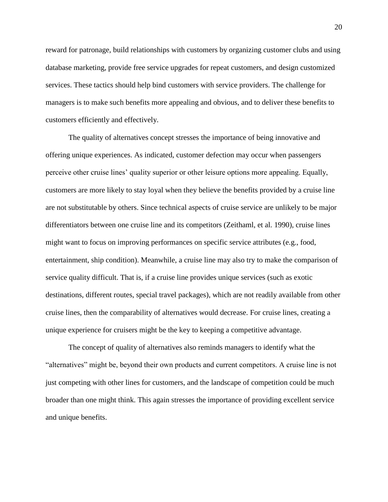reward for patronage, build relationships with customers by organizing customer clubs and using database marketing, provide free service upgrades for repeat customers, and design customized services. These tactics should help bind customers with service providers. The challenge for managers is to make such benefits more appealing and obvious, and to deliver these benefits to customers efficiently and effectively.

The quality of alternatives concept stresses the importance of being innovative and offering unique experiences. As indicated, customer defection may occur when passengers perceive other cruise lines" quality superior or other leisure options more appealing. Equally, customers are more likely to stay loyal when they believe the benefits provided by a cruise line are not substitutable by others. Since technical aspects of cruise service are unlikely to be major differentiators between one cruise line and its competitors (Zeithaml, et al. 1990), cruise lines might want to focus on improving performances on specific service attributes (e.g., food, entertainment, ship condition). Meanwhile, a cruise line may also try to make the comparison of service quality difficult. That is, if a cruise line provides unique services (such as exotic destinations, different routes, special travel packages), which are not readily available from other cruise lines, then the comparability of alternatives would decrease. For cruise lines, creating a unique experience for cruisers might be the key to keeping a competitive advantage.

The concept of quality of alternatives also reminds managers to identify what the "alternatives" might be, beyond their own products and current competitors. A cruise line is not just competing with other lines for customers, and the landscape of competition could be much broader than one might think. This again stresses the importance of providing excellent service and unique benefits.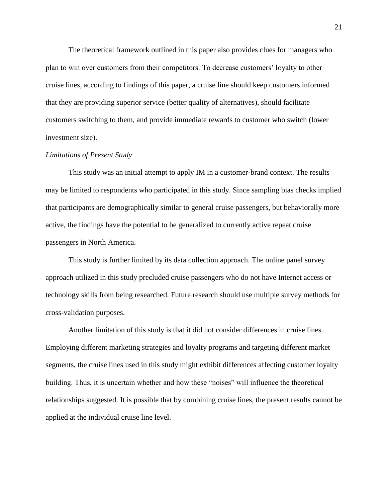The theoretical framework outlined in this paper also provides clues for managers who plan to win over customers from their competitors. To decrease customers" loyalty to other cruise lines, according to findings of this paper, a cruise line should keep customers informed that they are providing superior service (better quality of alternatives), should facilitate customers switching to them, and provide immediate rewards to customer who switch (lower investment size).

### *Limitations of Present Study*

This study was an initial attempt to apply IM in a customer-brand context. The results may be limited to respondents who participated in this study. Since sampling bias checks implied that participants are demographically similar to general cruise passengers, but behaviorally more active, the findings have the potential to be generalized to currently active repeat cruise passengers in North America.

This study is further limited by its data collection approach. The online panel survey approach utilized in this study precluded cruise passengers who do not have Internet access or technology skills from being researched. Future research should use multiple survey methods for cross-validation purposes.

Another limitation of this study is that it did not consider differences in cruise lines. Employing different marketing strategies and loyalty programs and targeting different market segments, the cruise lines used in this study might exhibit differences affecting customer loyalty building. Thus, it is uncertain whether and how these "noises" will influence the theoretical relationships suggested. It is possible that by combining cruise lines, the present results cannot be applied at the individual cruise line level.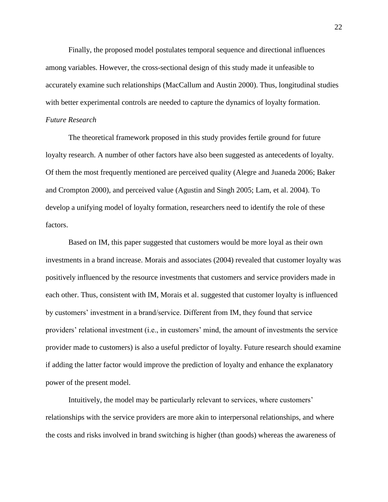Finally, the proposed model postulates temporal sequence and directional influences among variables. However, the cross-sectional design of this study made it unfeasible to accurately examine such relationships (MacCallum and Austin 2000). Thus, longitudinal studies with better experimental controls are needed to capture the dynamics of loyalty formation.

# *Future Research*

The theoretical framework proposed in this study provides fertile ground for future loyalty research. A number of other factors have also been suggested as antecedents of loyalty. Of them the most frequently mentioned are perceived quality (Alegre and Juaneda 2006; Baker and Crompton 2000), and perceived value (Agustin and Singh 2005; Lam, et al. 2004). To develop a unifying model of loyalty formation, researchers need to identify the role of these factors.

Based on IM, this paper suggested that customers would be more loyal as their own investments in a brand increase. Morais and associates (2004) revealed that customer loyalty was positively influenced by the resource investments that customers and service providers made in each other. Thus, consistent with IM, Morais et al. suggested that customer loyalty is influenced by customers' investment in a brand/service. Different from IM, they found that service providers" relational investment (i.e., in customers" mind, the amount of investments the service provider made to customers) is also a useful predictor of loyalty. Future research should examine if adding the latter factor would improve the prediction of loyalty and enhance the explanatory power of the present model.

Intuitively, the model may be particularly relevant to services, where customers" relationships with the service providers are more akin to interpersonal relationships, and where the costs and risks involved in brand switching is higher (than goods) whereas the awareness of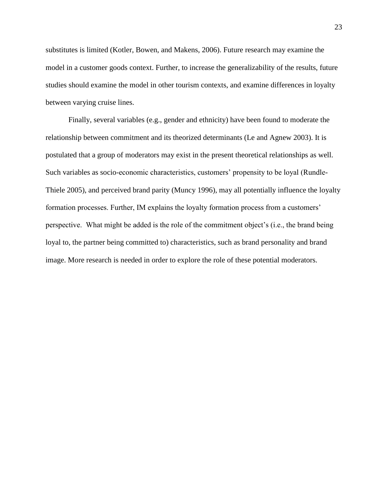substitutes is limited (Kotler, Bowen, and Makens, 2006). Future research may examine the model in a customer goods context. Further, to increase the generalizability of the results, future studies should examine the model in other tourism contexts, and examine differences in loyalty between varying cruise lines.

Finally, several variables (e.g., gender and ethnicity) have been found to moderate the relationship between commitment and its theorized determinants (Le and Agnew 2003). It is postulated that a group of moderators may exist in the present theoretical relationships as well. Such variables as socio-economic characteristics, customers' propensity to be loyal (Rundle-Thiele 2005), and perceived brand parity (Muncy 1996), may all potentially influence the loyalty formation processes. Further, IM explains the loyalty formation process from a customers' perspective. What might be added is the role of the commitment object"s (i.e., the brand being loyal to, the partner being committed to) characteristics, such as brand personality and brand image. More research is needed in order to explore the role of these potential moderators.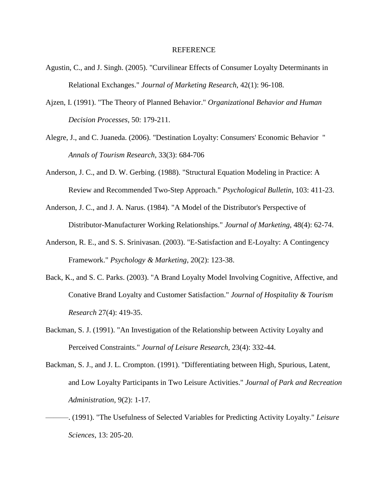#### **REFERENCE**

- Agustin, C., and J. Singh. (2005). "Curvilinear Effects of Consumer Loyalty Determinants in Relational Exchanges." *Journal of Marketing Research*, 42(1): 96-108.
- Ajzen, I. (1991). "The Theory of Planned Behavior." *Organizational Behavior and Human Decision Processes*, 50: 179-211.
- Alegre, J., and C. Juaneda. (2006). "Destination Loyalty: Consumers' Economic Behavior " *Annals of Tourism Research*, 33(3): 684-706
- Anderson, J. C., and D. W. Gerbing. (1988). "Structural Equation Modeling in Practice: A Review and Recommended Two-Step Approach." *Psychological Bulletin*, 103: 411-23.
- Anderson, J. C., and J. A. Narus. (1984). "A Model of the Distributor's Perspective of Distributor-Manufacturer Working Relationships." *Journal of Marketing*, 48(4): 62-74.
- Anderson, R. E., and S. S. Srinivasan. (2003). "E-Satisfaction and E-Loyalty: A Contingency Framework." *Psychology & Marketing*, 20(2): 123-38.
- Back, K., and S. C. Parks. (2003). "A Brand Loyalty Model Involving Cognitive, Affective, and Conative Brand Loyalty and Customer Satisfaction." *Journal of Hospitality & Tourism Research* 27(4): 419-35.
- Backman, S. J. (1991). "An Investigation of the Relationship between Activity Loyalty and Perceived Constraints." *Journal of Leisure Research*, 23(4): 332-44.
- Backman, S. J., and J. L. Crompton. (1991). "Differentiating between High, Spurious, Latent, and Low Loyalty Participants in Two Leisure Activities." *Journal of Park and Recreation Administration*, 9(2): 1-17.
- ———. (1991). "The Usefulness of Selected Variables for Predicting Activity Loyalty." *Leisure Sciences*, 13: 205-20.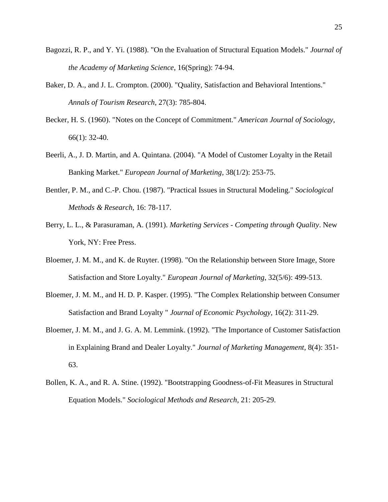- Bagozzi, R. P., and Y. Yi. (1988). "On the Evaluation of Structural Equation Models." *Journal of the Academy of Marketing Science*, 16(Spring): 74-94.
- Baker, D. A., and J. L. Crompton. (2000). "Quality, Satisfaction and Behavioral Intentions." *Annals of Tourism Research*, 27(3): 785-804.
- Becker, H. S. (1960). "Notes on the Concept of Commitment." *American Journal of Sociology*, 66(1): 32-40.
- Beerli, A., J. D. Martin, and A. Quintana. (2004). "A Model of Customer Loyalty in the Retail Banking Market." *European Journal of Marketing*, 38(1/2): 253-75.
- Bentler, P. M., and C.-P. Chou. (1987). "Practical Issues in Structural Modeling." *Sociological Methods & Research*, 16: 78-117.
- Berry, L. L., & Parasuraman, A. (1991). *Marketing Services - Competing through Quality*. New York, NY: Free Press.
- Bloemer, J. M. M., and K. de Ruyter. (1998). "On the Relationship between Store Image, Store Satisfaction and Store Loyalty." *European Journal of Marketing*, 32(5/6): 499-513.
- Bloemer, J. M. M., and H. D. P. Kasper. (1995). "The Complex Relationship between Consumer Satisfaction and Brand Loyalty " *Journal of Economic Psychology*, 16(2): 311-29.
- Bloemer, J. M. M., and J. G. A. M. Lemmink. (1992). "The Importance of Customer Satisfaction in Explaining Brand and Dealer Loyalty." *Journal of Marketing Management*, 8(4): 351- 63.
- Bollen, K. A., and R. A. Stine. (1992). "Bootstrapping Goodness-of-Fit Measures in Structural Equation Models." *Sociological Methods and Research*, 21: 205-29.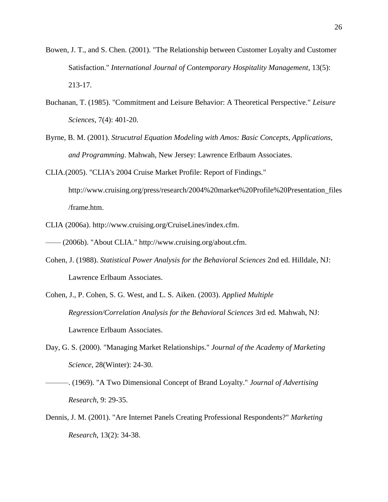- Bowen, J. T., and S. Chen. (2001). "The Relationship between Customer Loyalty and Customer Satisfaction." *International Journal of Contemporary Hospitality Management*, 13(5): 213-17.
- Buchanan, T. (1985). "Commitment and Leisure Behavior: A Theoretical Perspective." *Leisure Sciences*, 7(4): 401-20.
- Byrne, B. M. (2001). *Strucutral Equation Modeling with Amos: Basic Concepts, Applications, and Programming*. Mahwah, New Jersey: Lawrence Erlbaum Associates.
- CLIA.(2005). "CLIA's 2004 Cruise Market Profile: Report of Findings." http://www.cruising.org/press/research/2004%20market%20Profile%20Presentation\_files /frame.htm.
- CLIA (2006a). http://www.cruising.org/CruiseLines/index.cfm.
- —— (2006b). "About CLIA." http://www.cruising.org/about.cfm.
- Cohen, J. (1988). *Statistical Power Analysis for the Behavioral Sciences* 2nd ed. Hilldale, NJ: Lawrence Erlbaum Associates.
- Cohen, J., P. Cohen, S. G. West, and L. S. Aiken. (2003). *Applied Multiple Regression/Correlation Analysis for the Behavioral Sciences* 3rd ed. Mahwah, NJ: Lawrence Erlbaum Associates.
- Day, G. S. (2000). "Managing Market Relationships." *Journal of the Academy of Marketing Science*, 28(Winter): 24-30.
- ———. (1969). "A Two Dimensional Concept of Brand Loyalty." *Journal of Advertising Research*, 9: 29-35.
- Dennis, J. M. (2001). "Are Internet Panels Creating Professional Respondents?" *Marketing Research*, 13(2): 34-38.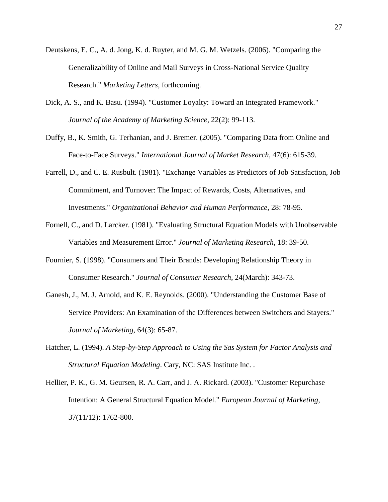- Deutskens, E. C., A. d. Jong, K. d. Ruyter, and M. G. M. Wetzels. (2006). "Comparing the Generalizability of Online and Mail Surveys in Cross-National Service Quality Research." *Marketing Letters*, forthcoming.
- Dick, A. S., and K. Basu. (1994). "Customer Loyalty: Toward an Integrated Framework." *Journal of the Academy of Marketing Science*, 22(2): 99-113.
- Duffy, B., K. Smith, G. Terhanian, and J. Bremer. (2005). "Comparing Data from Online and Face-to-Face Surveys." *International Journal of Market Research*, 47(6): 615-39.
- Farrell, D., and C. E. Rusbult. (1981). "Exchange Variables as Predictors of Job Satisfaction, Job Commitment, and Turnover: The Impact of Rewards, Costs, Alternatives, and Investments." *Organizational Behavior and Human Performance*, 28: 78-95.
- Fornell, C., and D. Larcker. (1981). "Evaluating Structural Equation Models with Unobservable Variables and Measurement Error." *Journal of Marketing Research*, 18: 39-50.
- Fournier, S. (1998). "Consumers and Their Brands: Developing Relationship Theory in Consumer Research." *Journal of Consumer Research*, 24(March): 343-73.
- Ganesh, J., M. J. Arnold, and K. E. Reynolds. (2000). "Understanding the Customer Base of Service Providers: An Examination of the Differences between Switchers and Stayers." *Journal of Marketing*, 64(3): 65-87.
- Hatcher, L. (1994). *A Step-by-Step Approach to Using the Sas System for Factor Analysis and Structural Equation Modeling*. Cary, NC: SAS Institute Inc. .
- Hellier, P. K., G. M. Geursen, R. A. Carr, and J. A. Rickard. (2003). "Customer Repurchase Intention: A General Structural Equation Model." *European Journal of Marketing*, 37(11/12): 1762-800.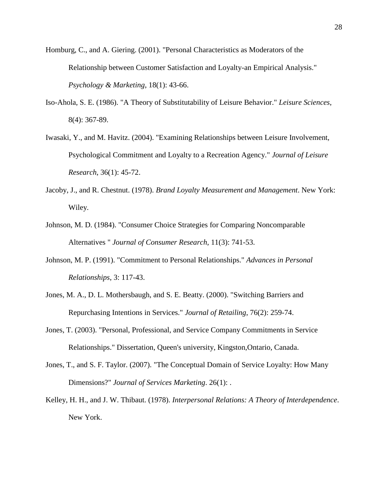- Homburg, C., and A. Giering. (2001). "Personal Characteristics as Moderators of the Relationship between Customer Satisfaction and Loyalty-an Empirical Analysis." *Psychology & Marketing*, 18(1): 43-66.
- Iso-Ahola, S. E. (1986). "A Theory of Substitutability of Leisure Behavior." *Leisure Sciences*, 8(4): 367-89.
- Iwasaki, Y., and M. Havitz. (2004). "Examining Relationships between Leisure Involvement, Psychological Commitment and Loyalty to a Recreation Agency." *Journal of Leisure Research*, 36(1): 45-72.
- Jacoby, J., and R. Chestnut. (1978). *Brand Loyalty Measurement and Management*. New York: Wiley.
- Johnson, M. D. (1984). "Consumer Choice Strategies for Comparing Noncomparable Alternatives " *Journal of Consumer Research*, 11(3): 741-53.
- Johnson, M. P. (1991). "Commitment to Personal Relationships." *Advances in Personal Relationships*, 3: 117-43.
- Jones, M. A., D. L. Mothersbaugh, and S. E. Beatty. (2000). "Switching Barriers and Repurchasing Intentions in Services." *Journal of Retailing*, 76(2): 259-74.
- Jones, T. (2003). "Personal, Professional, and Service Company Commitments in Service Relationships." Dissertation, Queen's university, Kingston,Ontario, Canada.
- Jones, T., and S. F. Taylor. (2007). "The Conceptual Domain of Service Loyalty: How Many Dimensions?" *Journal of Services Marketing*. 26(1): .
- Kelley, H. H., and J. W. Thibaut. (1978). *Interpersonal Relations: A Theory of Interdependence*. New York.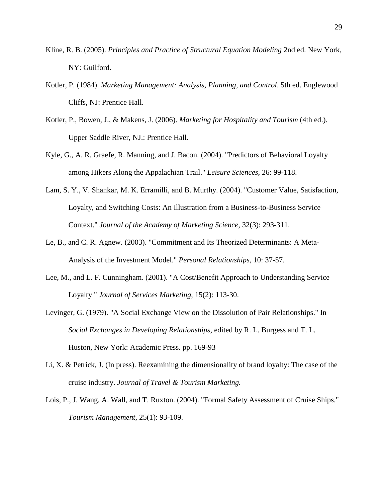- Kline, R. B. (2005). *Principles and Practice of Structural Equation Modeling* 2nd ed. New York, NY: Guilford.
- Kotler, P. (1984). *Marketing Management: Analysis, Planning, and Control*. 5th ed. Englewood Cliffs, NJ: Prentice Hall.
- Kotler, P., Bowen, J., & Makens, J. (2006). *Marketing for Hospitality and Tourism* (4th ed.). Upper Saddle River, NJ.: Prentice Hall.
- Kyle, G., A. R. Graefe, R. Manning, and J. Bacon. (2004). "Predictors of Behavioral Loyalty among Hikers Along the Appalachian Trail." *Leisure Sciences*, 26: 99-118.
- Lam, S. Y., V. Shankar, M. K. Erramilli, and B. Murthy. (2004). "Customer Value, Satisfaction, Loyalty, and Switching Costs: An Illustration from a Business-to-Business Service Context." *Journal of the Academy of Marketing Science*, 32(3): 293-311.
- Le, B., and C. R. Agnew. (2003). "Commitment and Its Theorized Determinants: A Meta-Analysis of the Investment Model." *Personal Relationships*, 10: 37-57.
- Lee, M., and L. F. Cunningham. (2001). "A Cost/Benefit Approach to Understanding Service Loyalty " *Journal of Services Marketing*, 15(2): 113-30.
- Levinger, G. (1979). "A Social Exchange View on the Dissolution of Pair Relationships." In *Social Exchanges in Developing Relationships*, edited by R. L. Burgess and T. L. Huston, New York: Academic Press. pp. 169-93
- Li, X. & Petrick, J. (In press). Reexamining the dimensionality of brand loyalty: The case of the cruise industry. *Journal of Travel & Tourism Marketing.*
- Lois, P., J. Wang, A. Wall, and T. Ruxton. (2004). "Formal Safety Assessment of Cruise Ships." *Tourism Management*, 25(1): 93-109.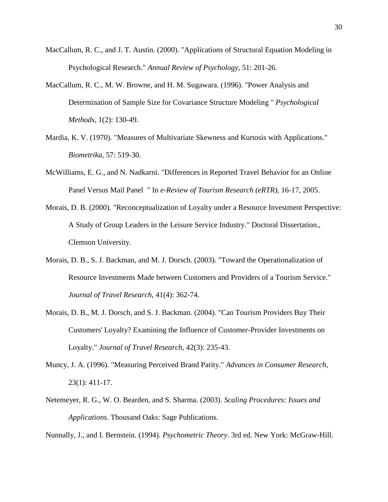- MacCallum, R. C., and J. T. Austin. (2000). "Applications of Structural Equation Modeling in Psychological Research." *Annual Review of Psychology*, 51: 201-26.
- MacCallum, R. C., M. W. Browne, and H. M. Sugawara. (1996). "Power Analysis and Determination of Sample Size for Covariance Structure Modeling " *Psychological Methods*, 1(2): 130-49.
- Mardia, K. V. (1970). "Measures of Multivariate Skewness and Kurtosis with Applications." *Biometrika*, 57: 519-30.
- McWilliams, E. G., and N. Nadkarni. "Differences in Reported Travel Behavior for an Online Panel Versus Mail Panel " In *e-Review of Tourism Research (eRTR)*, 16-17, 2005.
- Morais, D. B. (2000). "Reconceptualization of Loyalty under a Resource Investment Perspective: A Study of Group Leaders in the Leisure Service Industry." Doctoral Dissertation., Clemson University.
- Morais, D. B., S. J. Backman, and M. J. Dorsch. (2003). "Toward the Operationalization of Resource Investments Made between Customers and Providers of a Tourism Service." *Journal of Travel Research*, 41(4): 362-74.
- Morais, D. B., M. J. Dorsch, and S. J. Backman. (2004). "Can Tourism Providers Buy Their Customers' Loyalty? Examining the Influence of Customer-Provider Investments on Loyalty." *Journal of Travel Research*, 42(3): 235-43.
- Muncy, J. A. (1996). "Measuring Perceived Brand Parity." *Advances in Consumer Research*, 23(1): 411-17.
- Netemeyer, R. G., W. O. Bearden, and S. Sharma. (2003). *Scaling Procedures: Issues and Applications*. Thousand Oaks: Sage Publications.

Nunnally, J., and I. Bernstein. (1994). *Psychometric Theory*. 3rd ed. New York: McGraw-Hill.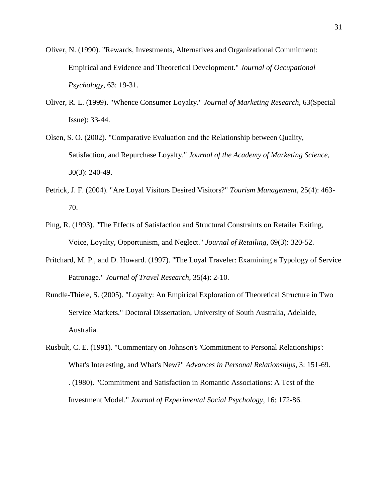- Oliver, N. (1990). "Rewards, Investments, Alternatives and Organizational Commitment: Empirical and Evidence and Theoretical Development." *Journal of Occupational Psychology*, 63: 19-31.
- Oliver, R. L. (1999). "Whence Consumer Loyalty." *Journal of Marketing Research*, 63(Special Issue): 33-44.
- Olsen, S. O. (2002). "Comparative Evaluation and the Relationship between Quality, Satisfaction, and Repurchase Loyalty." *Journal of the Academy of Marketing Science*, 30(3): 240-49.
- Petrick, J. F. (2004). "Are Loyal Visitors Desired Visitors?" *Tourism Management*, 25(4): 463- 70.
- Ping, R. (1993). "The Effects of Satisfaction and Structural Constraints on Retailer Exiting, Voice, Loyalty, Opportunism, and Neglect." *Journal of Retailing*, 69(3): 320-52.
- Pritchard, M. P., and D. Howard. (1997). "The Loyal Traveler: Examining a Typology of Service Patronage." *Journal of Travel Research*, 35(4): 2-10.
- Rundle-Thiele, S. (2005). "Loyalty: An Empirical Exploration of Theoretical Structure in Two Service Markets." Doctoral Dissertation, University of South Australia, Adelaide, Australia.
- Rusbult, C. E. (1991). "Commentary on Johnson's 'Commitment to Personal Relationships': What's Interesting, and What's New?" *Advances in Personal Relationships*, 3: 151-69.
- ———. (1980). "Commitment and Satisfaction in Romantic Associations: A Test of the Investment Model." *Journal of Experimental Social Psychology*, 16: 172-86.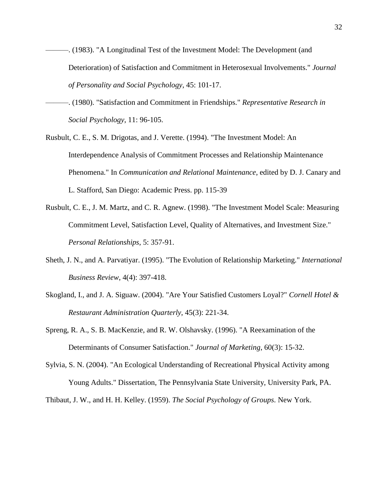- ———. (1983). "A Longitudinal Test of the Investment Model: The Development (and Deterioration) of Satisfaction and Commitment in Heterosexual Involvements." *Journal of Personality and Social Psychology*, 45: 101-17.
- ———. (1980). "Satisfaction and Commitment in Friendships." *Representative Research in Social Psychology*, 11: 96-105.

Rusbult, C. E., S. M. Drigotas, and J. Verette. (1994). "The Investment Model: An Interdependence Analysis of Commitment Processes and Relationship Maintenance Phenomena." In *Communication and Relational Maintenance*, edited by D. J. Canary and L. Stafford, San Diego: Academic Press. pp. 115-39

- Rusbult, C. E., J. M. Martz, and C. R. Agnew. (1998). "The Investment Model Scale: Measuring Commitment Level, Satisfaction Level, Quality of Alternatives, and Investment Size." *Personal Relationships*, 5: 357-91.
- Sheth, J. N., and A. Parvatiyar. (1995). "The Evolution of Relationship Marketing." *International Business Review*, 4(4): 397-418.
- Skogland, I., and J. A. Siguaw. (2004). "Are Your Satisfied Customers Loyal?" *Cornell Hotel & Restaurant Administration Quarterly*, 45(3): 221-34.
- Spreng, R. A., S. B. MacKenzie, and R. W. Olshavsky. (1996). "A Reexamination of the Determinants of Consumer Satisfaction." *Journal of Marketing*, 60(3): 15-32.
- Sylvia, S. N. (2004). "An Ecological Understanding of Recreational Physical Activity among Young Adults." Dissertation, The Pennsylvania State University, University Park, PA.

Thibaut, J. W., and H. H. Kelley. (1959). *The Social Psychology of Groups*. New York.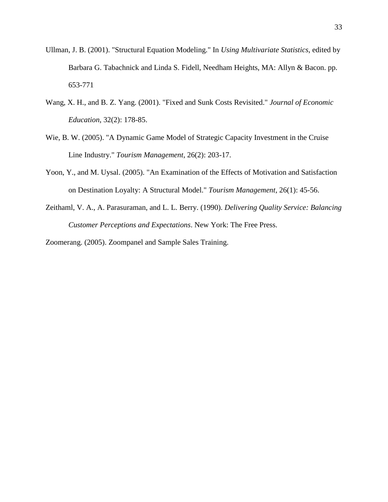- Ullman, J. B. (2001). "Structural Equation Modeling." In *Using Multivariate Statistics*, edited by Barbara G. Tabachnick and Linda S. Fidell, Needham Heights, MA: Allyn & Bacon. pp. 653-771
- Wang, X. H., and B. Z. Yang. (2001). "Fixed and Sunk Costs Revisited." *Journal of Economic Education*, 32(2): 178-85.
- Wie, B. W. (2005). "A Dynamic Game Model of Strategic Capacity Investment in the Cruise Line Industry." *Tourism Management*, 26(2): 203-17.
- Yoon, Y., and M. Uysal. (2005). "An Examination of the Effects of Motivation and Satisfaction on Destination Loyalty: A Structural Model." *Tourism Management*, 26(1): 45-56.
- Zeithaml, V. A., A. Parasuraman, and L. L. Berry. (1990). *Delivering Quality Service: Balancing Customer Perceptions and Expectations*. New York: The Free Press.

Zoomerang. (2005). Zoompanel and Sample Sales Training.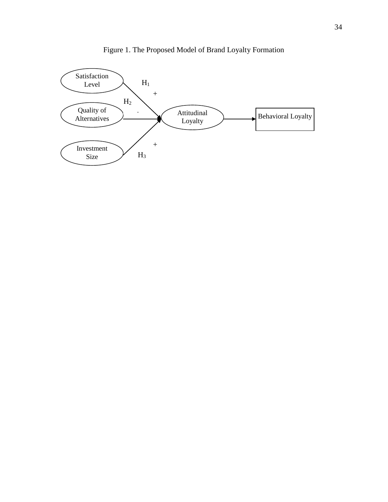

Figure 1. The Proposed Model of Brand Loyalty Formation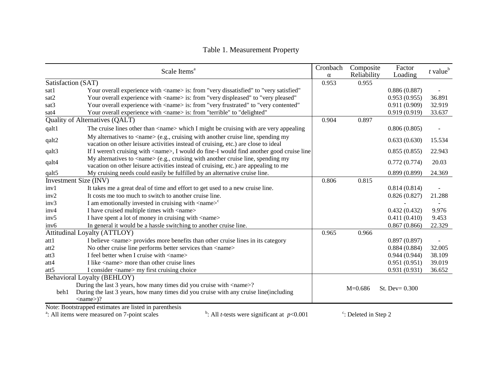# Table 1. Measurement Property

|                                | Scale Items <sup>a</sup>                                                                                                                                                                 | Cronbach<br>$\alpha$ | Composite<br>Reliability      | Factor<br>Loading | $t$ value <sup>b</sup> |
|--------------------------------|------------------------------------------------------------------------------------------------------------------------------------------------------------------------------------------|----------------------|-------------------------------|-------------------|------------------------|
| Satisfaction (SAT)             |                                                                                                                                                                                          | 0.953                | 0.955                         |                   |                        |
| sat1                           | Your overall experience with <name> is: from "very dissatisfied" to "very satisfied"</name>                                                                                              |                      |                               | 0.886(0.887)      |                        |
| sat2                           | Your overall experience with <name> is: from "very displeased" to "very pleased"</name>                                                                                                  |                      |                               | 0.953(0.955)      | 36.891                 |
| sat3                           | Your overall experience with <name> is: from "very frustrated" to "very contented"</name>                                                                                                |                      |                               | 0.911(0.909)      | 32.919                 |
| sat4                           | Your overall experience with <name> is: from "terrible" to "delighted"</name>                                                                                                            |                      |                               | 0.919(0.919)      | 33.637                 |
| Quality of Alternatives (QALT) |                                                                                                                                                                                          | 0.904                | 0.897                         |                   |                        |
| qalt1                          | The cruise lines other than $\langle$ name which I might be cruising with are very appealing                                                                                             |                      |                               | 0.806(0.805)      |                        |
| qalt2                          | My alternatives to $\langle$ name $\rangle$ (e.g., cruising with another cruise line, spending my<br>vacation on other leisure activities instead of cruising, etc.) are close to ideal  |                      |                               | 0.633(0.630)      | 15.534                 |
| qalt3                          | If I weren't cruising with <name>, I would do fine-I would find another good cruise line</name>                                                                                          |                      |                               | 0.855(0.855)      | 22.943                 |
| qalt4                          | My alternatives to $\langle$ name $\rangle$ (e.g., cruising with another cruise line, spending my<br>vacation on other leisure activities instead of cruising, etc.) are appealing to me |                      |                               | 0.772(0.774)      | 20.03                  |
| qalt5                          | My cruising needs could easily be fulfilled by an alternative cruise line.                                                                                                               |                      |                               | 0.899(0.899)      | 24.369                 |
| <b>Investment Size (INV)</b>   |                                                                                                                                                                                          | 0.806                | 0.815                         |                   |                        |
| inv1                           | It takes me a great deal of time and effort to get used to a new cruise line.                                                                                                            |                      |                               | 0.814(0.814)      |                        |
| inv2                           | It costs me too much to switch to another cruise line.                                                                                                                                   |                      |                               | 0.826(0.827)      | 21.288                 |
| inv3                           | I am emotionally invested in cruising with $\langle$ name $\rangle$ <sup>c</sup>                                                                                                         |                      |                               |                   |                        |
| inv4                           | I have cruised multiple times with <name></name>                                                                                                                                         |                      |                               | 0.432(0.432)      | 9.976                  |
| inv5                           | I have spent a lot of money in cruising with <name></name>                                                                                                                               |                      |                               | 0.411(0.410)      | 9.453                  |
| inv6                           | In general it would be a hassle switching to another cruise line.                                                                                                                        |                      |                               | 0.867(0.866)      | 22.329                 |
| Attitudinal Loyalty (ATTLOY)   |                                                                                                                                                                                          | 0.965                | 0.966                         |                   |                        |
| att1                           | I believe <name> provides more benefits than other cruise lines in its category</name>                                                                                                   |                      |                               | 0.897(0.897)      |                        |
| att <sub>2</sub>               | No other cruise line performs better services than <name></name>                                                                                                                         |                      |                               | 0.884(0.884)      | 32.005                 |
| att <sub>3</sub>               | I feel better when I cruise with <name></name>                                                                                                                                           |                      |                               | 0.944(0.944)      | 38.109                 |
| att4                           | I like <name> more than other cruise lines</name>                                                                                                                                        |                      |                               | 0.951(0.951)      | 39.019                 |
| att <sub>5</sub>               | I consider <name> my first cruising choice</name>                                                                                                                                        |                      |                               | 0.931(0.931)      | 36.652                 |
|                                | Behavioral Loyalty (BEHLOY)                                                                                                                                                              |                      |                               |                   |                        |
|                                | During the last 3 years, how many times did you cruise with <name>?</name>                                                                                                               | $M=0.686$            | St. Dev= $0.300$              |                   |                        |
| beh1                           | During the last 3 years, how many times did you cruise with any cruise line(including<br>$\langle$ name $\rangle$ ?                                                                      |                      |                               |                   |                        |
|                                | Note: Bootstrapped estimates are listed in parenthesis                                                                                                                                   |                      |                               |                   |                        |
|                                | <sup>b</sup> : All <i>t</i> -tests were significant at $p<0.001$<br><sup>a</sup> : All items were measured on 7-point scales                                                             |                      | $\degree$ : Deleted in Step 2 |                   |                        |

<sup>b</sup>: All *t*-tests were significant at  $p<0.001$ 

: Deleted in Step 2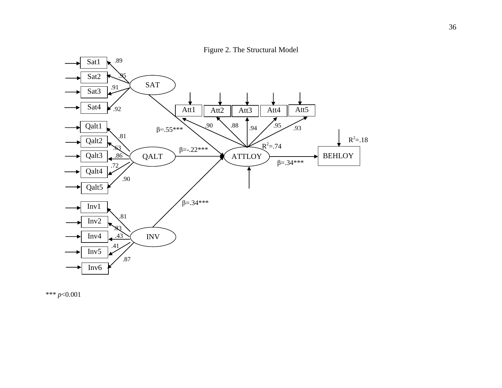

\*\*\* *p*<0.001